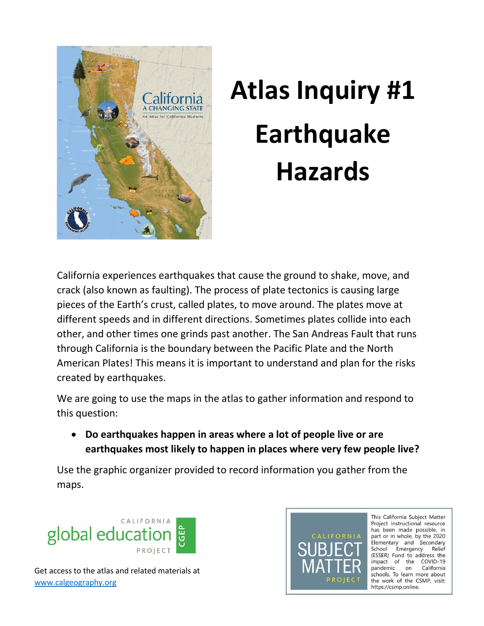

## **Atlas Inquiry #1 Earthquake Hazards**

California experiences earthquakes that cause the ground to shake, move, and crack (also known as faulting). The process of plate tectonics is causing large pieces of the Earth's crust, called plates, to move around. The plates move at different speeds and in different directions. Sometimes plates collide into each other, and other times one grinds past another. The San Andreas Fault that runs through California is the boundary between the Pacific Plate and the North American Plates! This means it is important to understand and plan for the risks created by earthquakes.

We are going to use the maps in the atlas to gather information and respond to this question:

 **Do earthquakes happen in areas where a lot of people live or are earthquakes most likely to happen in places where very few people live?** 

Use the graphic organizer provided to record information you gather from the maps.





This California Subject Matter Project instructional resource has been made possible, in part or in whole, by the 2020 Elementary and Secondary School Emergency Relief (ESSER) Fund to address the impact of the COVID-19 pandemic on California schools. To learn more about the work of the CSMP, visit: https://csmp.online.

Get access to the atlas and related materials at [www.calgeography.org](http://www.calgeography.org/)